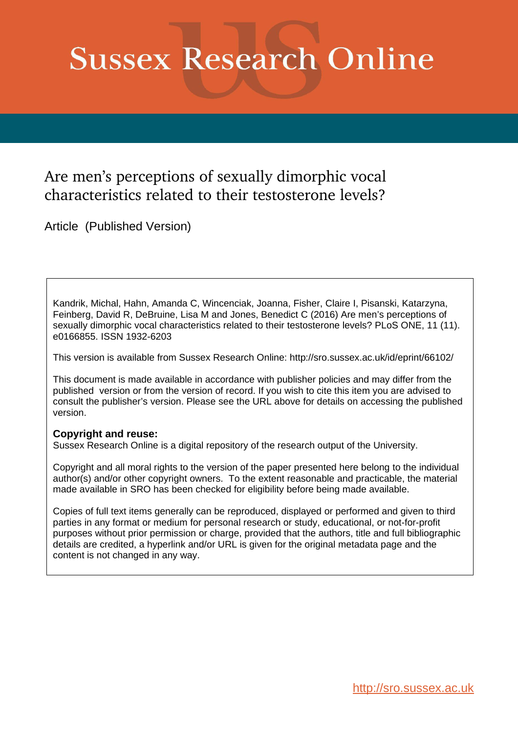# **Sussex Research Online**

## Are men's perceptions of sexually dimorphic vocal characteristics related to their testosterone levels?

Article (Published Version)

Kandrik, Michal, Hahn, Amanda C, Wincenciak, Joanna, Fisher, Claire I, Pisanski, Katarzyna, Feinberg, David R, DeBruine, Lisa M and Jones, Benedict C (2016) Are men's perceptions of sexually dimorphic vocal characteristics related to their testosterone levels? PLoS ONE, 11 (11). e0166855. ISSN 1932-6203

This version is available from Sussex Research Online: http://sro.sussex.ac.uk/id/eprint/66102/

This document is made available in accordance with publisher policies and may differ from the published version or from the version of record. If you wish to cite this item you are advised to consult the publisher's version. Please see the URL above for details on accessing the published version.

#### **Copyright and reuse:**

Sussex Research Online is a digital repository of the research output of the University.

Copyright and all moral rights to the version of the paper presented here belong to the individual author(s) and/or other copyright owners. To the extent reasonable and practicable, the material made available in SRO has been checked for eligibility before being made available.

Copies of full text items generally can be reproduced, displayed or performed and given to third parties in any format or medium for personal research or study, educational, or not-for-profit purposes without prior permission or charge, provided that the authors, title and full bibliographic details are credited, a hyperlink and/or URL is given for the original metadata page and the content is not changed in any way.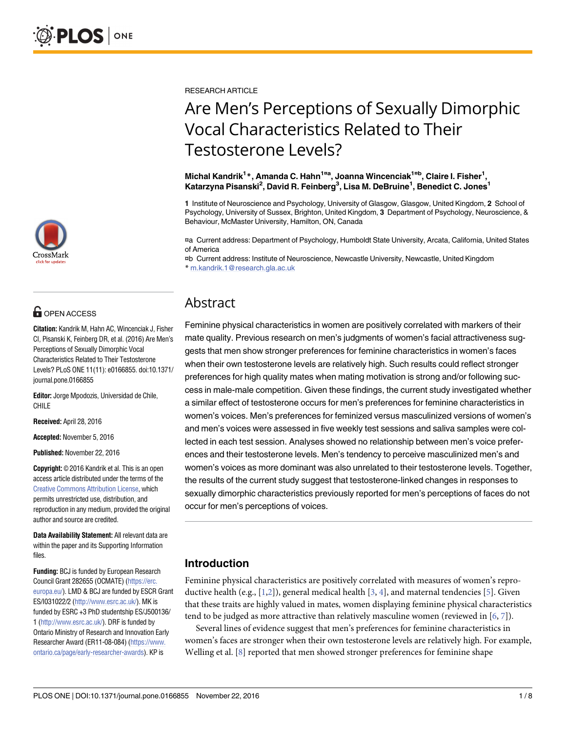

## **O** OPEN ACCESS

**Citation:** Kandrik M, Hahn AC, Wincenciak J, Fisher CI, Pisanski K, Feinberg DR, et al. (2016) Are Men's Perceptions of Sexually Dimorphic Vocal Characteristics Related to Their Testosterone Levels? PLoS ONE 11(11): e0166855. doi:10.1371/ journal.pone.0166855

**Editor:** Jorge Mpodozis, Universidad de Chile, CHILE

**Received:** April 28, 2016

**Accepted:** November 5, 2016

**Published:** November 22, 2016

**Copyright:** © 2016 Kandrik et al. This is an open access article distributed under the terms of the Creative Commons [Attribution](http://creativecommons.org/licenses/by/4.0/) License, which permits unrestricted use, distribution, and reproduction in any medium, provided the original author and source are credited.

**Data Availability Statement:** All relevant data are within the paper and its Supporting Information files.

**Funding:** BCJ is funded by European Research Council Grant 282655 (OCMATE) [\(https://erc.](https://erc.europa.eu/) [europa.eu/\)](https://erc.europa.eu/). LMD & BCJ are funded by ESCR Grant ES/I031022/2 [\(http://www.esrc.ac.uk/\)](http://www.esrc.ac.uk/). MK is funded by ESRC +3 PhD studentship ES/J500136/ 1 [\(http://www.esrc.ac.uk/\)](http://www.esrc.ac.uk/). DRF is funded by Ontario Ministry of Research and Innovation Early Researcher Award (ER11-08-084) [\(https://www.](https://www.ontario.ca/page/early-researcher-awards) [ontario.ca/page/early-researcher-awards\)](https://www.ontario.ca/page/early-researcher-awards). KP is

<span id="page-1-0"></span>RESEARCH ARTICLE

## Are Men's Perceptions of Sexually Dimorphic Vocal Characteristics Related to Their Testosterone Levels?

**Michal Kandrik1 \*, Amanda C. Hahn1¤<sup>a</sup> , Joanna Wincenciak1¤<sup>b</sup> , Claire I. Fisher1 , Katarzyna Pisanski2 , David R. Feinberg3 , Lisa M. DeBruine1 , Benedict C. Jones1**

**1** Institute of Neuroscience and Psychology, University of Glasgow, Glasgow, United Kingdom, **2** School of Psychology, University of Sussex, Brighton, United Kingdom, **3** Department of Psychology, Neuroscience, & Behaviour, McMaster University, Hamilton, ON, Canada

¤a Current address: Department of Psychology, Humboldt State University, Arcata, California, United States of America

¤b Current address: Institute of Neuroscience, Newcastle University, Newcastle, United Kingdom \* m.kandrik.1@research.gla.ac.uk

### Abstract

Feminine physical characteristics in women are positively correlated with markers of their mate quality. Previous research on men's judgments of women's facial attractiveness suggests that men show stronger preferences for feminine characteristics in women's faces when their own testosterone levels are relatively high. Such results could reflect stronger preferences for high quality mates when mating motivation is strong and/or following success in male-male competition. Given these findings, the current study investigated whether a similar effect of testosterone occurs for men's preferences for feminine characteristics in women's voices. Men's preferences for feminized versus masculinized versions of women's and men's voices were assessed in five weekly test sessions and saliva samples were collected in each test session. Analyses showed no relationship between men's voice preferences and their testosterone levels. Men's tendency to perceive masculinized men's and women's voices as more dominant was also unrelated to their testosterone levels. Together, the results of the current study suggest that testosterone-linked changes in responses to sexually dimorphic characteristics previously reported for men's perceptions of faces do not occur for men's perceptions of voices.

#### **Introduction**

Feminine physical characteristics are positively correlated with measures of women's repro-ductive health (e.g., [[1,2\]](#page-7-0)), general medical health [\[3,](#page-7-0) [4\]](#page-7-0), and maternal tendencies [\[5\]](#page-7-0). Given that these traits are highly valued in mates, women displaying feminine physical characteristics tend to be judged as more attractive than relatively masculine women (reviewed in [[6,](#page-7-0) [7\]](#page-7-0)).

Several lines of evidence suggest that men's preferences for feminine characteristics in women's faces are stronger when their own testosterone levels are relatively high. For example, Welling et al. [[8\]](#page-7-0) reported that men showed stronger preferences for feminine shape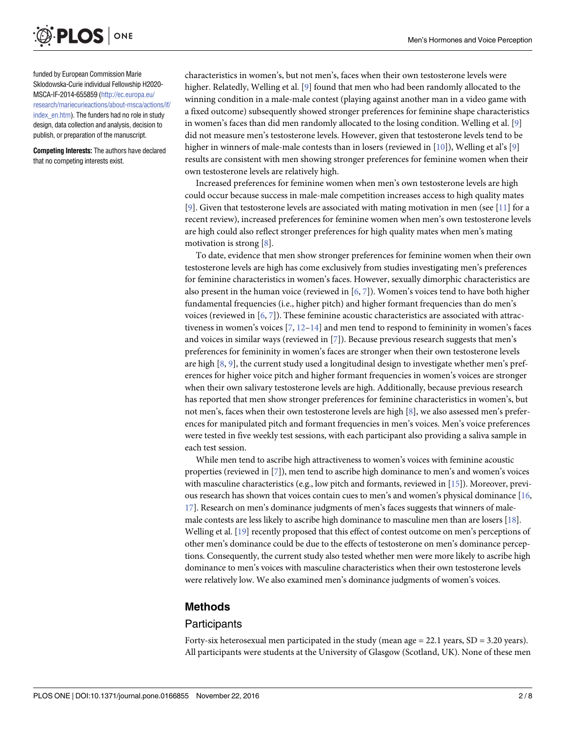<span id="page-2-0"></span>

funded by European Commission Marie Sklodowska-Curie individual Fellowship H2020- MSCA-IF-2014-655859 ([http://ec.europa.eu/](http://ec.europa.eu/research/mariecurieactions/about-msca/actions/if/index_en.htm) [research/mariecurieactions/about-msca/actions/if/](http://ec.europa.eu/research/mariecurieactions/about-msca/actions/if/index_en.htm) index en.htm). The funders had no role in study design, data collection and analysis, decision to publish, or preparation of the manuscript.

**Competing Interests:** The authors have declared that no competing interests exist.

characteristics in women's, but not men's, faces when their own testosterone levels were higher. Relatedly, Welling et al. [\[9](#page-7-0)] found that men who had been randomly allocated to the winning condition in a male-male contest (playing against another man in a video game with a fixed outcome) subsequently showed stronger preferences for feminine shape characteristics in women's faces than did men randomly allocated to the losing condition. Welling et al. [[9\]](#page-7-0) did not measure men's testosterone levels. However, given that testosterone levels tend to be higher in winners of male-male contests than in losers (reviewed in [\[10\]](#page-7-0)), Welling et al's [\[9\]](#page-7-0) results are consistent with men showing stronger preferences for feminine women when their own testosterone levels are relatively high.

Increased preferences for feminine women when men's own testosterone levels are high could occur because success in male-male competition increases access to high quality mates [\[9](#page-7-0)]. Given that testosterone levels are associated with mating motivation in men (see [[11](#page-7-0)] for a recent review), increased preferences for feminine women when men's own testosterone levels are high could also reflect stronger preferences for high quality mates when men's mating motivation is strong [[8\]](#page-7-0).

To date, evidence that men show stronger preferences for feminine women when their own testosterone levels are high has come exclusively from studies investigating men's preferences for feminine characteristics in women's faces. However, sexually dimorphic characteristics are also present in the human voice (reviewed in [\[6,](#page-7-0) [7](#page-7-0)]). Women's voices tend to have both higher fundamental frequencies (i.e., higher pitch) and higher formant frequencies than do men's voices (reviewed in [[6](#page-7-0), [7\]](#page-7-0)). These feminine acoustic characteristics are associated with attractiveness in women's voices  $[7, 12-14]$  $[7, 12-14]$  $[7, 12-14]$  $[7, 12-14]$  $[7, 12-14]$  $[7, 12-14]$  $[7, 12-14]$  and men tend to respond to femininity in women's faces and voices in similar ways (reviewed in [[7](#page-7-0)]). Because previous research suggests that men's preferences for femininity in women's faces are stronger when their own testosterone levels are high [[8,](#page-7-0) [9\]](#page-7-0), the current study used a longitudinal design to investigate whether men's preferences for higher voice pitch and higher formant frequencies in women's voices are stronger when their own salivary testosterone levels are high. Additionally, because previous research has reported that men show stronger preferences for feminine characteristics in women's, but not men's, faces when their own testosterone levels are high [\[8\]](#page-7-0), we also assessed men's preferences for manipulated pitch and formant frequencies in men's voices. Men's voice preferences were tested in five weekly test sessions, with each participant also providing a saliva sample in each test session.

While men tend to ascribe high attractiveness to women's voices with feminine acoustic properties (reviewed in [[7](#page-7-0)]), men tend to ascribe high dominance to men's and women's voices with masculine characteristics (e.g., low pitch and formants, reviewed in [\[15](#page-7-0)]). Moreover, previous research has shown that voices contain cues to men's and women's physical dominance [[16](#page-7-0), [17](#page-7-0)]. Research on men's dominance judgments of men's faces suggests that winners of malemale contests are less likely to ascribe high dominance to masculine men than are losers [\[18\]](#page-7-0). Welling et al. [\[19\]](#page-7-0) recently proposed that this effect of contest outcome on men's perceptions of other men's dominance could be due to the effects of testosterone on men's dominance perceptions. Consequently, the current study also tested whether men were more likely to ascribe high dominance to men's voices with masculine characteristics when their own testosterone levels were relatively low. We also examined men's dominance judgments of women's voices.

#### **Methods**

#### **Participants**

Forty-six heterosexual men participated in the study (mean age = 22.1 years, SD = 3.20 years). All participants were students at the University of Glasgow (Scotland, UK). None of these men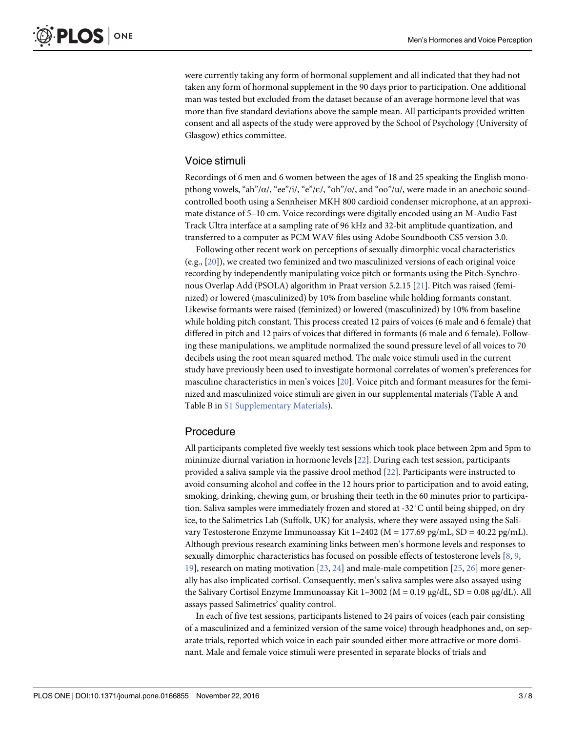<span id="page-3-0"></span>were currently taking any form of hormonal supplement and all indicated that they had not taken any form of hormonal supplement in the 90 days prior to participation. One additional man was tested but excluded from the dataset because of an average hormone level that was more than five standard deviations above the sample mean. All participants provided written consent and all aspects of the study were approved by the School of Psychology (University of Glasgow) ethics committee.

#### Voice stimuli

Recordings of 6 men and 6 women between the ages of 18 and 25 speaking the English monopthong vowels, "ah"/α/, "ee"/i/, "e"/ε/, "oh"/o/, and "oo"/u/, were made in an anechoic soundcontrolled booth using a Sennheiser MKH 800 cardioid condenser microphone, at an approximate distance of 5–10 cm. Voice recordings were digitally encoded using an M-Audio Fast Track Ultra interface at a sampling rate of 96 kHz and 32-bit amplitude quantization, and transferred to a computer as PCM WAV files using Adobe Soundbooth CS5 version 3.0.

Following other recent work on perceptions of sexually dimorphic vocal characteristics (e.g., [[20](#page-7-0)]), we created two feminized and two masculinized versions of each original voice recording by independently manipulating voice pitch or formants using the Pitch-Synchronous Overlap Add (PSOLA) algorithm in Praat version 5.2.15 [\[21\]](#page-7-0). Pitch was raised (feminized) or lowered (masculinized) by 10% from baseline while holding formants constant. Likewise formants were raised (feminized) or lowered (masculinized) by 10% from baseline while holding pitch constant. This process created 12 pairs of voices (6 male and 6 female) that differed in pitch and 12 pairs of voices that differed in formants (6 male and 6 female). Following these manipulations, we amplitude normalized the sound pressure level of all voices to 70 decibels using the root mean squared method. The male voice stimuli used in the current study have previously been used to investigate hormonal correlates of women's preferences for masculine characteristics in men's voices [\[20](#page-7-0)]. Voice pitch and formant measures for the feminized and masculinized voice stimuli are given in our supplemental materials (Table A and Table B in S1 [Supplementary](#page-6-0) Materials).

#### Procedure

All participants completed five weekly test sessions which took place between 2pm and 5pm to minimize diurnal variation in hormone levels [[22](#page-7-0)]. During each test session, participants provided a saliva sample via the passive drool method [\[22\]](#page-7-0). Participants were instructed to avoid consuming alcohol and coffee in the 12 hours prior to participation and to avoid eating, smoking, drinking, chewing gum, or brushing their teeth in the 60 minutes prior to participation. Saliva samples were immediately frozen and stored at -32˚C until being shipped, on dry ice, to the Salimetrics Lab (Suffolk, UK) for analysis, where they were assayed using the Salivary Testosterone Enzyme Immunoassay Kit 1–2402 (M = 177.69 pg/mL, SD = 40.22 pg/mL). Although previous research examining links between men's hormone levels and responses to sexually dimorphic characteristics has focused on possible effects of testosterone levels [\[8](#page-7-0), [9](#page-7-0), [19\]](#page-7-0), research on mating motivation [[23](#page-8-0), [24](#page-8-0)] and male-male competition [[25](#page-8-0), [26](#page-8-0)] more generally has also implicated cortisol. Consequently, men's saliva samples were also assayed using the Salivary Cortisol Enzyme Immunoassay Kit  $1-3002$  (M = 0.19 μg/dL, SD = 0.08 μg/dL). All assays passed Salimetrics' quality control.

In each of five test sessions, participants listened to 24 pairs of voices (each pair consisting of a masculinized and a feminized version of the same voice) through headphones and, on separate trials, reported which voice in each pair sounded either more attractive or more dominant. Male and female voice stimuli were presented in separate blocks of trials and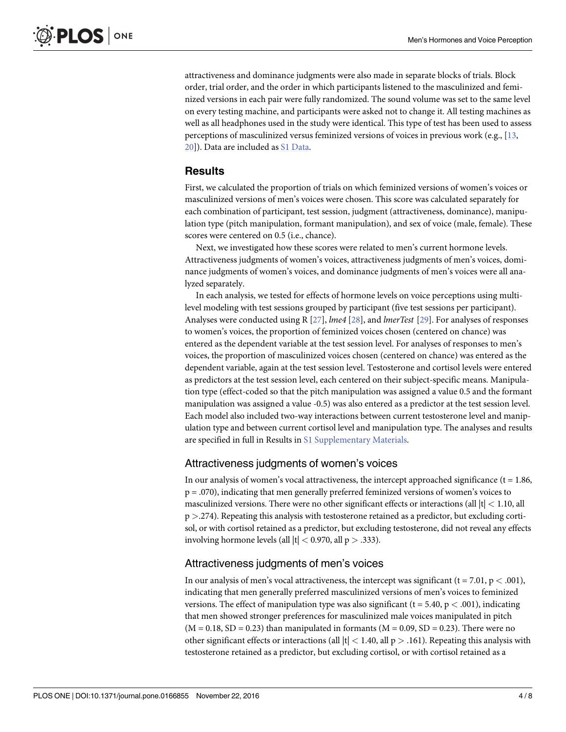<span id="page-4-0"></span>attractiveness and dominance judgments were also made in separate blocks of trials. Block order, trial order, and the order in which participants listened to the masculinized and feminized versions in each pair were fully randomized. The sound volume was set to the same level on every testing machine, and participants were asked not to change it. All testing machines as well as all headphones used in the study were identical. This type of test has been used to assess perceptions of masculinized versus feminized versions of voices in previous work (e.g., [\[13,](#page-7-0) [20\]](#page-7-0)). Data are included as S1 [Data](#page-6-0).

#### **Results**

First, we calculated the proportion of trials on which feminized versions of women's voices or masculinized versions of men's voices were chosen. This score was calculated separately for each combination of participant, test session, judgment (attractiveness, dominance), manipulation type (pitch manipulation, formant manipulation), and sex of voice (male, female). These scores were centered on 0.5 (i.e., chance).

Next, we investigated how these scores were related to men's current hormone levels. Attractiveness judgments of women's voices, attractiveness judgments of men's voices, dominance judgments of women's voices, and dominance judgments of men's voices were all analyzed separately.

In each analysis, we tested for effects of hormone levels on voice perceptions using multilevel modeling with test sessions grouped by participant (five test sessions per participant). Analyses were conducted using R [[27](#page-8-0)], *lme4* [\[28\]](#page-8-0), and *lmerTest* [\[29\]](#page-8-0). For analyses of responses to women's voices, the proportion of feminized voices chosen (centered on chance) was entered as the dependent variable at the test session level. For analyses of responses to men's voices, the proportion of masculinized voices chosen (centered on chance) was entered as the dependent variable, again at the test session level. Testosterone and cortisol levels were entered as predictors at the test session level, each centered on their subject-specific means. Manipulation type (effect-coded so that the pitch manipulation was assigned a value 0.5 and the formant manipulation was assigned a value -0.5) was also entered as a predictor at the test session level. Each model also included two-way interactions between current testosterone level and manipulation type and between current cortisol level and manipulation type. The analyses and results are specified in full in Results in S1 [Supplementary](#page-6-0) Materials.

#### Attractiveness judgments of women's voices

In our analysis of women's vocal attractiveness, the intercept approached significance ( $t = 1.86$ , p = .070), indicating that men generally preferred feminized versions of women's voices to masculinized versions. There were no other significant effects or interactions (all |t| *<* 1.10, all p *>*.274). Repeating this analysis with testosterone retained as a predictor, but excluding cortisol, or with cortisol retained as a predictor, but excluding testosterone, did not reveal any effects involving hormone levels (all |t| *<* 0.970, all p *>* .333).

#### Attractiveness judgments of men's voices

In our analysis of men's vocal attractiveness, the intercept was significant (t = 7.01, p *<* .001), indicating that men generally preferred masculinized versions of men's voices to feminized versions. The effect of manipulation type was also significant ( $t = 5.40$ ,  $p < .001$ ), indicating that men showed stronger preferences for masculinized male voices manipulated in pitch  $(M = 0.18, SD = 0.23)$  than manipulated in formants  $(M = 0.09, SD = 0.23)$ . There were no other significant effects or interactions (all |t| *<* 1.40, all p *>* .161). Repeating this analysis with testosterone retained as a predictor, but excluding cortisol, or with cortisol retained as a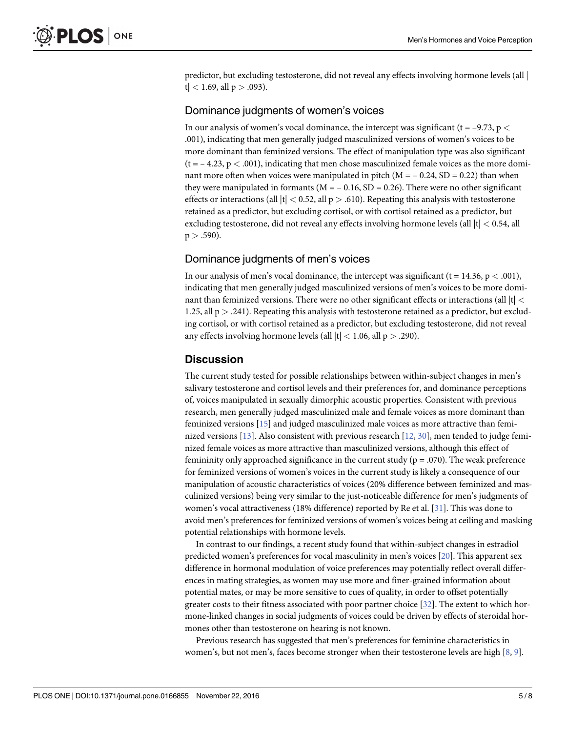<span id="page-5-0"></span>predictor, but excluding testosterone, did not reveal any effects involving hormone levels (all | t| *<* 1.69, all p *>* .093).

#### Dominance judgments of women's voices

In our analysis of women's vocal dominance, the intercept was significant (t = –9.73, p *<* .001), indicating that men generally judged masculinized versions of women's voices to be more dominant than feminized versions. The effect of manipulation type was also significant  $(t = -4.23, p < .001)$ , indicating that men chose masculinized female voices as the more dominant more often when voices were manipulated in pitch  $(M = -0.24, SD = 0.22)$  than when they were manipulated in formants ( $M = -0.16$ , SD = 0.26). There were no other significant effects or interactions (all  $|t|$  < 0.52, all  $p > .610$ ). Repeating this analysis with testosterone retained as a predictor, but excluding cortisol, or with cortisol retained as a predictor, but excluding testosterone, did not reveal any effects involving hormone levels (all |t| *<* 0.54, all  $p > .590$ ).

#### Dominance judgments of men's voices

In our analysis of men's vocal dominance, the intercept was significant ( $t = 14.36$ ,  $p < .001$ ), indicating that men generally judged masculinized versions of men's voices to be more dominant than feminized versions. There were no other significant effects or interactions (all |t| *<* 1.25, all p *>* .241). Repeating this analysis with testosterone retained as a predictor, but excluding cortisol, or with cortisol retained as a predictor, but excluding testosterone, did not reveal any effects involving hormone levels (all |t| *<* 1.06, all p *>* .290).

#### **Discussion**

The current study tested for possible relationships between within-subject changes in men's salivary testosterone and cortisol levels and their preferences for, and dominance perceptions of, voices manipulated in sexually dimorphic acoustic properties. Consistent with previous research, men generally judged masculinized male and female voices as more dominant than feminized versions [[15](#page-7-0)] and judged masculinized male voices as more attractive than feminized versions [[13](#page-7-0)]. Also consistent with previous research [\[12,](#page-7-0) [30\]](#page-8-0), men tended to judge feminized female voices as more attractive than masculinized versions, although this effect of femininity only approached significance in the current study ( $p = .070$ ). The weak preference for feminized versions of women's voices in the current study is likely a consequence of our manipulation of acoustic characteristics of voices (20% difference between feminized and masculinized versions) being very similar to the just-noticeable difference for men's judgments of women's vocal attractiveness (18% difference) reported by Re et al. [\[31\]](#page-8-0). This was done to avoid men's preferences for feminized versions of women's voices being at ceiling and masking potential relationships with hormone levels.

In contrast to our findings, a recent study found that within-subject changes in estradiol predicted women's preferences for vocal masculinity in men's voices [\[20\]](#page-7-0). This apparent sex difference in hormonal modulation of voice preferences may potentially reflect overall differences in mating strategies, as women may use more and finer-grained information about potential mates, or may be more sensitive to cues of quality, in order to offset potentially greater costs to their fitness associated with poor partner choice [[32](#page-8-0)]. The extent to which hormone-linked changes in social judgments of voices could be driven by effects of steroidal hormones other than testosterone on hearing is not known.

Previous research has suggested that men's preferences for feminine characteristics in women's, but not men's, faces become stronger when their testosterone levels are high [\[8,](#page-7-0) [9](#page-7-0)].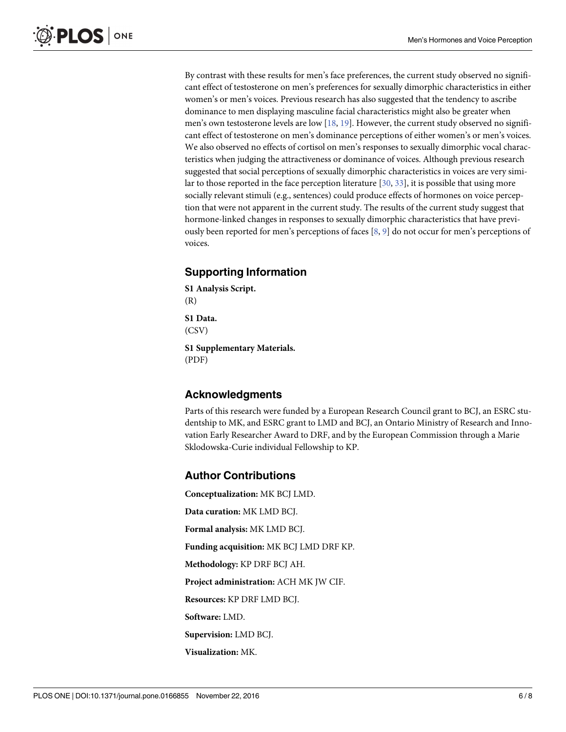<span id="page-6-0"></span>By contrast with these results for men's face preferences, the current study observed no significant effect of testosterone on men's preferences for sexually dimorphic characteristics in either women's or men's voices. Previous research has also suggested that the tendency to ascribe dominance to men displaying masculine facial characteristics might also be greater when men's own testosterone levels are low [\[18,](#page-7-0) [19\]](#page-7-0). However, the current study observed no significant effect of testosterone on men's dominance perceptions of either women's or men's voices. We also observed no effects of cortisol on men's responses to sexually dimorphic vocal characteristics when judging the attractiveness or dominance of voices. Although previous research suggested that social perceptions of sexually dimorphic characteristics in voices are very similar to those reported in the face perception literature [\[30,](#page-8-0) [33\]](#page-8-0), it is possible that using more socially relevant stimuli (e.g., sentences) could produce effects of hormones on voice perception that were not apparent in the current study. The results of the current study suggest that hormone-linked changes in responses to sexually dimorphic characteristics that have previously been reported for men's perceptions of faces [[8](#page-7-0), [9\]](#page-7-0) do not occur for men's perceptions of voices.

#### **Supporting Information**

**S1 [Analysis](http://www.plosone.org/article/fetchSingleRepresentation.action?uri=info:doi/10.1371/journal.pone.0166855.s001) Script.** (R)

**S1 [Data](http://www.plosone.org/article/fetchSingleRepresentation.action?uri=info:doi/10.1371/journal.pone.0166855.s002).** (CSV)

**S1 [Supplementary](http://www.plosone.org/article/fetchSingleRepresentation.action?uri=info:doi/10.1371/journal.pone.0166855.s003) Materials.** (PDF)

#### **Acknowledgments**

Parts of this research were funded by a European Research Council grant to BCJ, an ESRC studentship to MK, and ESRC grant to LMD and BCJ, an Ontario Ministry of Research and Innovation Early Researcher Award to DRF, and by the European Commission through a Marie Sklodowska-Curie individual Fellowship to KP.

#### **Author Contributions**

**Conceptualization:** MK BCJ LMD. **Data curation:** MK LMD BCJ. **Formal analysis:** MK LMD BCJ. **Funding acquisition:** MK BCJ LMD DRF KP. **Methodology:** KP DRF BCJ AH. **Project administration:** ACH MK JW CIF. **Resources:** KP DRF LMD BCJ. **Software:** LMD. **Supervision:** LMD BCJ. **Visualization:** MK.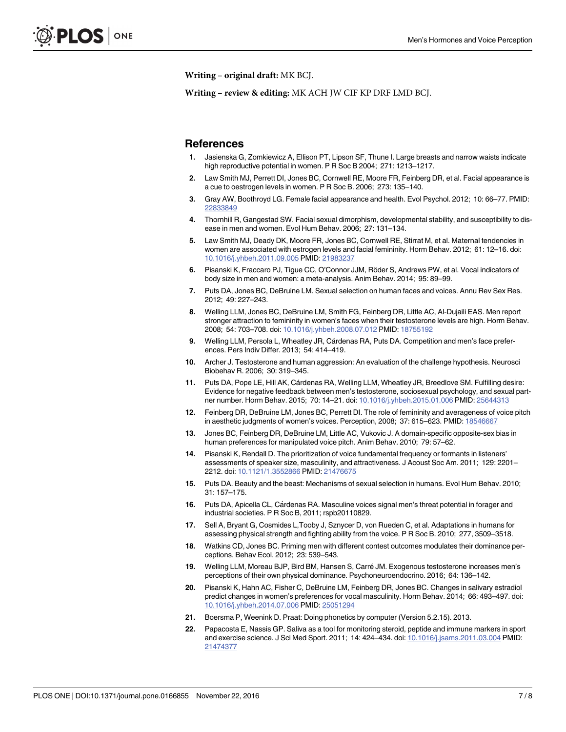<span id="page-7-0"></span>**Writing – original draft:** MK BCJ.

**Writing – review & editing:** MK ACH JW CIF KP DRF LMD BCJ.

#### **References**

- **[1](#page-1-0).** Jasienska G, Zomkiewicz A, Ellison PT, Lipson SF, Thune I. Large breasts and narrow waists indicate high reproductive potential in women. P R Soc B 2004; 271: 1213–1217.
- **[2](#page-1-0).** Law Smith MJ, Perrett DI, Jones BC, Cornwell RE, Moore FR, Feinberg DR, et al. Facial appearance is a cue to oestrogen levels in women. P R Soc B. 2006; 273: 135–140.
- **[3](#page-1-0).** Gray AW, Boothroyd LG. Female facial appearance and health. Evol Psychol. 2012; 10: 66–77. PMID: [22833849](http://www.ncbi.nlm.nih.gov/pubmed/22833849)
- **[4](#page-1-0).** Thornhill R, Gangestad SW. Facial sexual dimorphism, developmental stability, and susceptibility to disease in men and women. Evol Hum Behav. 2006; 27: 131–134.
- **[5](#page-1-0).** Law Smith MJ, Deady DK, Moore FR, Jones BC, Cornwell RE, Stirrat M, et al. Maternal tendencies in women are associated with estrogen levels and facial femininity. Horm Behav. 2012; 61: 12–16. doi: [10.1016/j.yhbeh.2011.09.005](http://dx.doi.org/10.1016/j.yhbeh.2011.09.005) PMID: [21983237](http://www.ncbi.nlm.nih.gov/pubmed/21983237)
- **[6](#page-1-0).** Pisanski K, Fraccaro PJ, Tigue CC, O'Connor JJM, Röder S, Andrews PW, et al. Vocal indicators of body size in men and women: a meta-analysis. Anim Behav. 2014; 95: 89–99.
- **[7](#page-1-0).** Puts DA, Jones BC, DeBruine LM. Sexual selection on human faces and voices. Annu Rev Sex Res. 2012; 49: 227–243.
- **[8](#page-1-0).** Welling LLM, Jones BC, DeBruine LM, Smith FG, Feinberg DR, Little AC, Al-Dujaili EAS. Men report stronger attraction to femininity in women's faces when their testosterone levels are high. Horm Behav. 2008; 54: 703–708. doi: [10.1016/j.yhbeh.2008.07.012](http://dx.doi.org/10.1016/j.yhbeh.2008.07.012) PMID: [18755192](http://www.ncbi.nlm.nih.gov/pubmed/18755192)
- **[9](#page-2-0).** Welling LLM, Persola L, Wheatley JR, Cárdenas RA, Puts DA. Competition and men's face preferences. Pers Indiv Differ. 2013; 54: 414–419.
- **[10](#page-2-0).** Archer J. Testosterone and human aggression: An evaluation of the challenge hypothesis. Neurosci Biobehav R. 2006; 30: 319–345.
- **[11](#page-2-0).** Puts DA, Pope LE, Hill AK, Ca´rdenas RA, Welling LLM, Wheatley JR, Breedlove SM. Fulfilling desire: Evidence for negative feedback between men's testosterone, sociosexual psychology, and sexual partner number. Horm Behav. 2015; 70: 14–21. doi: [10.1016/j.yhbeh.2015.01.006](http://dx.doi.org/10.1016/j.yhbeh.2015.01.006) PMID: [25644313](http://www.ncbi.nlm.nih.gov/pubmed/25644313)
- **[12](#page-2-0).** Feinberg DR, DeBruine LM, Jones BC, Perrett DI. The role of femininity and averageness of voice pitch in aesthetic judgments of women's voices. Perception, 2008; 37: 615–623. PMID: [18546667](http://www.ncbi.nlm.nih.gov/pubmed/18546667)
- **[13](#page-4-0).** Jones BC, Feinberg DR, DeBruine LM, Little AC, Vukovic J. A domain-specific opposite-sex bias in human preferences for manipulated voice pitch. Anim Behav. 2010; 79: 57–62.
- **[14](#page-2-0).** Pisanski K, Rendall D. The prioritization of voice fundamental frequency or formants in listeners' assessments of speaker size, masculinity, and attractiveness. J Acoust Soc Am. 2011; 129: 2201– 2212. doi: [10.1121/1.3552866](http://dx.doi.org/10.1121/1.3552866) PMID: [21476675](http://www.ncbi.nlm.nih.gov/pubmed/21476675)
- **[15](#page-2-0).** Puts DA. Beauty and the beast: Mechanisms of sexual selection in humans. Evol Hum Behav. 2010; 31: 157–175.
- **[16](#page-2-0).** Puts DA, Apicella CL, Ca´rdenas RA. Masculine voices signal men's threat potential in forager and industrial societies. P R Soc B, 2011; rspb20110829.
- **[17](#page-2-0).** Sell A, Bryant G, Cosmides L,Tooby J, Sznycer D, von Rueden C, et al. Adaptations in humans for assessing physical strength and fighting ability from the voice. P R Soc B. 2010; 277, 3509–3518.
- **[18](#page-2-0).** Watkins CD, Jones BC. Priming men with different contest outcomes modulates their dominance perceptions. Behav Ecol. 2012; 23: 539–543.
- **[19](#page-2-0).** Welling LLM, Moreau BJP, Bird BM, Hansen S, Carre´ JM. Exogenous testosterone increases men's perceptions of their own physical dominance. Psychoneuroendocrino. 2016; 64: 136–142.
- **[20](#page-3-0).** Pisanski K, Hahn AC, Fisher C, DeBruine LM, Feinberg DR, Jones BC. Changes in salivary estradiol predict changes in women's preferences for vocal masculinity. Horm Behav. 2014; 66: 493–497. doi: [10.1016/j.yhbeh.2014.07.006](http://dx.doi.org/10.1016/j.yhbeh.2014.07.006) PMID: [25051294](http://www.ncbi.nlm.nih.gov/pubmed/25051294)
- **[21](#page-3-0).** Boersma P, Weenink D. Praat: Doing phonetics by computer (Version 5.2.15). 2013.
- **[22](#page-3-0).** Papacosta E, Nassis GP. Saliva as a tool for monitoring steroid, peptide and immune markers in sport and exercise science. J Sci Med Sport. 2011; 14: 424–434. doi: [10.1016/j.jsams.2011.03.004](http://dx.doi.org/10.1016/j.jsams.2011.03.004) PMID: [21474377](http://www.ncbi.nlm.nih.gov/pubmed/21474377)